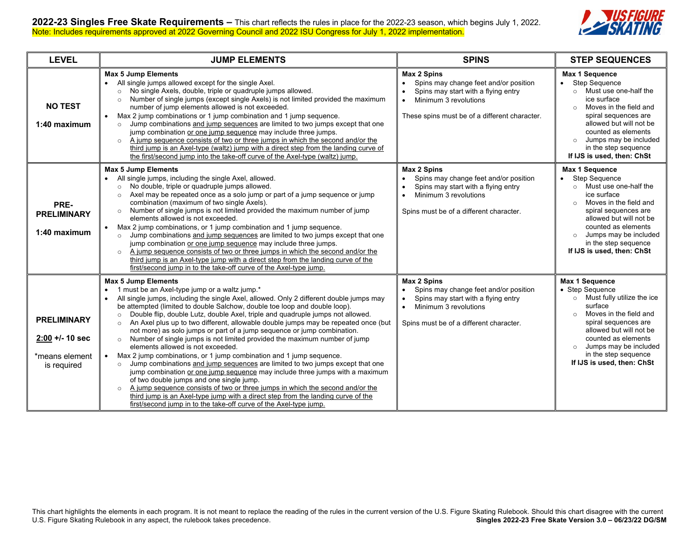

| <b>LEVEL</b>                                                           | <b>JUMP ELEMENTS</b>                                                                                                                                                                                                                                                                                                                                                                                                                                                                                                                                                                                                                                                                                                                                                                                                                                                                                                                                                                                                                                                                                                                                                                                                                                  | <b>SPINS</b>                                                                                                                                                                                     | <b>STEP SEQUENCES</b>                                                                                                                                                                                                                                                                              |
|------------------------------------------------------------------------|-------------------------------------------------------------------------------------------------------------------------------------------------------------------------------------------------------------------------------------------------------------------------------------------------------------------------------------------------------------------------------------------------------------------------------------------------------------------------------------------------------------------------------------------------------------------------------------------------------------------------------------------------------------------------------------------------------------------------------------------------------------------------------------------------------------------------------------------------------------------------------------------------------------------------------------------------------------------------------------------------------------------------------------------------------------------------------------------------------------------------------------------------------------------------------------------------------------------------------------------------------|--------------------------------------------------------------------------------------------------------------------------------------------------------------------------------------------------|----------------------------------------------------------------------------------------------------------------------------------------------------------------------------------------------------------------------------------------------------------------------------------------------------|
| <b>NO TEST</b><br>1:40 maximum                                         | <b>Max 5 Jump Elements</b><br>All single jumps allowed except for the single Axel.<br>$\bullet$<br>No single Axels, double, triple or quadruple jumps allowed.<br>$\circ$<br>Number of single jumps (except single Axels) is not limited provided the maximum<br>$\circ$<br>number of jump elements allowed is not exceeded.<br>Max 2 jump combinations or 1 jump combination and 1 jump sequence.<br>$\bullet$<br>Jump combinations and jump sequences are limited to two jumps except that one<br>$\circ$<br>jump combination or one jump sequence may include three jumps.<br>A jump sequence consists of two or three jumps in which the second and/or the<br>$\circ$<br>third jump is an Axel-type (waltz) jump with a direct step from the landing curve of<br>the first/second jump into the take-off curve of the Axel-type (waltz) jump.                                                                                                                                                                                                                                                                                                                                                                                                     | <b>Max 2 Spins</b><br>Spins may change feet and/or position<br>Spins may start with a flying entry<br>Minimum 3 revolutions<br>$\bullet$<br>These spins must be of a different character.        | Max 1 Sequence<br><b>Step Sequence</b><br>Must use one-half the<br>$\circ$<br>ice surface<br>Moves in the field and<br>$\circ$<br>spiral sequences are<br>allowed but will not be<br>counted as elements<br>Jumps may be included<br>$\circ$<br>in the step sequence<br>If IJS is used, then: ChSt |
| PRE-<br><b>PRELIMINARY</b><br>1:40 maximum                             | <b>Max 5 Jump Elements</b><br>All single jumps, including the single Axel, allowed.<br>$\bullet$<br>No double, triple or quadruple jumps allowed.<br>$\circ$<br>Axel may be repeated once as a solo jump or part of a jump sequence or jump<br>$\circ$<br>combination (maximum of two single Axels).<br>Number of single jumps is not limited provided the maximum number of jump<br>$\circ$<br>elements allowed is not exceeded.<br>Max 2 jump combinations, or 1 jump combination and 1 jump sequence.<br>$\bullet$<br>Jump combinations and jump sequences are limited to two jumps except that one<br>$\circ$<br>jump combination or one jump sequence may include three jumps.<br>A jump sequence consists of two or three jumps in which the second and/or the<br>$\circ$<br>third jump is an Axel-type jump with a direct step from the landing curve of the<br>first/second jump in to the take-off curve of the Axel-type jump.                                                                                                                                                                                                                                                                                                              | <b>Max 2 Spins</b><br>Spins may change feet and/or position<br>Spins may start with a flying entry<br>Minimum 3 revolutions<br>Spins must be of a different character.                           | Max 1 Sequence<br><b>Step Sequence</b><br>Must use one-half the<br>$\circ$<br>ice surface<br>Moves in the field and<br>$\circ$<br>spiral sequences are<br>allowed but will not be<br>counted as elements<br>Jumps may be included<br>$\circ$<br>in the step sequence<br>If IJS is used, then: ChSt |
| <b>PRELIMINARY</b><br>$2:00 + 10$ sec<br>*means element<br>is required | <b>Max 5 Jump Elements</b><br>1 must be an Axel-type jump or a waltz jump.*<br>$\bullet$<br>All single jumps, including the single Axel, allowed. Only 2 different double jumps may<br>$\bullet$<br>be attempted (limited to double Salchow, double toe loop and double loop).<br>Double flip, double Lutz, double Axel, triple and quadruple jumps not allowed.<br>$\circ$<br>An Axel plus up to two different, allowable double jumps may be repeated once (but<br>$\circ$<br>not more) as solo jumps or part of a jump sequence or jump combination.<br>Number of single jumps is not limited provided the maximum number of jump<br>$\circ$<br>elements allowed is not exceeded.<br>Max 2 jump combinations, or 1 jump combination and 1 jump sequence.<br>$\bullet$<br>Jump combinations and jump sequences are limited to two jumps except that one<br>$\circ$<br>jump combination or one jump sequence may include three jumps with a maximum<br>of two double jumps and one single jump.<br>A jump sequence consists of two or three jumps in which the second and/or the<br>$\circ$<br>third jump is an Axel-type jump with a direct step from the landing curve of the<br>first/second jump in to the take-off curve of the Axel-type jump. | <b>Max 2 Spins</b><br>Spins may change feet and/or position<br>Spins may start with a flying entry<br>$\bullet$<br>Minimum 3 revolutions<br>$\bullet$<br>Spins must be of a different character. | Max 1 Sequence<br>• Step Sequence<br>$\circ$ Must fully utilize the ice<br>surface<br>Moves in the field and<br>$\circ$<br>spiral sequences are<br>allowed but will not be<br>counted as elements<br>Jumps may be included<br>$\circ$<br>in the step sequence<br>If IJS is used, then: ChSt        |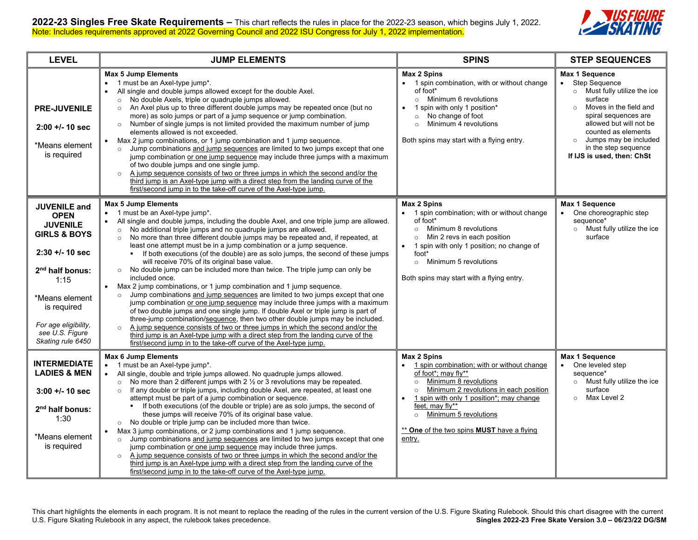

| <b>LEVEL</b>                                                                                                                                                                                                                                    | <b>JUMP ELEMENTS</b>                                                                                                                                                                                                                                                                                                                                                                                                                                                                                                                                                                                                                                                                                                                                                                                                                                                                                                                                                                                                                                                                                                                                                                                                                                                                                                                                       | <b>SPINS</b>                                                                                                                                                                                                                                                                                                                                             | <b>STEP SEQUENCES</b>                                                                                                                                                                                                                                                                                            |
|-------------------------------------------------------------------------------------------------------------------------------------------------------------------------------------------------------------------------------------------------|------------------------------------------------------------------------------------------------------------------------------------------------------------------------------------------------------------------------------------------------------------------------------------------------------------------------------------------------------------------------------------------------------------------------------------------------------------------------------------------------------------------------------------------------------------------------------------------------------------------------------------------------------------------------------------------------------------------------------------------------------------------------------------------------------------------------------------------------------------------------------------------------------------------------------------------------------------------------------------------------------------------------------------------------------------------------------------------------------------------------------------------------------------------------------------------------------------------------------------------------------------------------------------------------------------------------------------------------------------|----------------------------------------------------------------------------------------------------------------------------------------------------------------------------------------------------------------------------------------------------------------------------------------------------------------------------------------------------------|------------------------------------------------------------------------------------------------------------------------------------------------------------------------------------------------------------------------------------------------------------------------------------------------------------------|
| <b>PRE-JUVENILE</b><br>$2:00 + 1 - 10$ sec<br>*Means element<br>is required                                                                                                                                                                     | <b>Max 5 Jump Elements</b><br>1 must be an Axel-type jump*.<br>$\bullet$<br>All single and double jumps allowed except for the double Axel.<br>$\bullet$<br>No double Axels, triple or quadruple jumps allowed.<br>$\circ$<br>An Axel plus up to three different double jumps may be repeated once (but no<br>$\circ$<br>more) as solo jumps or part of a jump sequence or jump combination.<br>$\circ$ Number of single jumps is not limited provided the maximum number of jump<br>elements allowed is not exceeded.<br>Max 2 jump combinations, or 1 jump combination and 1 jump sequence.<br>$\bullet$<br>o Jump combinations and jump sequences are limited to two jumps except that one<br>jump combination or one jump sequence may include three jumps with a maximum<br>of two double jumps and one single jump.<br>A jump sequence consists of two or three jumps in which the second and/or the<br>$\circ$<br>third jump is an Axel-type jump with a direct step from the landing curve of the<br>first/second jump in to the take-off curve of the Axel-type jump.                                                                                                                                                                                                                                                                             | <b>Max 2 Spins</b><br>• 1 spin combination, with or without change<br>of foot*<br>Minimum 6 revolutions<br>$\circ$<br>1 spin with only 1 position*<br>$\bullet$<br>No change of foot<br>$\circ$<br>Minimum 4 revolutions<br>$\circ$<br>Both spins may start with a flying entry.                                                                         | Max 1 Sequence<br><b>Step Sequence</b><br>$\bullet$<br>Must fully utilize the ice<br>$\circ$<br>surface<br>Moves in the field and<br>$\circ$<br>spiral sequences are<br>allowed but will not be<br>counted as elements<br>Jumps may be included<br>$\circ$<br>in the step sequence<br>If IJS is used, then: ChSt |
| <b>JUVENILE and</b><br><b>OPEN</b><br><b>JUVENILE</b><br><b>GIRLS &amp; BOYS</b><br>$2:30 + 1 - 10$ sec<br>2 <sup>nd</sup> half bonus:<br>1:15<br>*Means element<br>is required<br>For age eligibility.<br>see U.S. Figure<br>Skating rule 6450 | <b>Max 5 Jump Elements</b><br>1 must be an Axel-type jump*.<br>$\bullet$<br>All single and double jumps, including the double Axel, and one triple jump are allowed.<br>$\bullet$<br>No additional triple jumps and no quadruple jumps are allowed.<br>$\circ$<br>No more than three different double jumps may be repeated and, if repeated, at<br>least one attempt must be in a jump combination or a jump sequence.<br>• If both executions (of the double) are as solo jumps, the second of these jumps<br>will receive 70% of its original base value.<br>o No double jump can be included more than twice. The triple jump can only be<br>included once.<br>Max 2 jump combinations, or 1 jump combination and 1 jump sequence.<br>$\bullet$<br>Jump combinations and jump sequences are limited to two jumps except that one<br>$\circ$<br>jump combination or one jump sequence may include three jumps with a maximum<br>of two double jumps and one single jump. If double Axel or triple jump is part of<br>three-jump combination/sequence, then two other double jumps may be included.<br>A jump sequence consists of two or three jumps in which the second and/or the<br>$\circ$<br>third jump is an Axel-type jump with a direct step from the landing curve of the<br>first/second jump in to the take-off curve of the Axel-type jump. | <b>Max 2 Spins</b><br>1 spin combination; with or without change<br>of foot*<br>Minimum 8 revolutions<br>$\circ$<br>Min 2 revs in each position<br>$\circ$<br>1 spin with only 1 position; no change of<br>$\bullet$<br>foot*<br>Minimum 5 revolutions<br>$\circ$<br>Both spins may start with a flying entry.                                           | <b>Max 1 Sequence</b><br>One choreographic step<br>sequence*<br>$\circ$ Must fully utilize the ice<br>surface                                                                                                                                                                                                    |
| <b>INTERMEDIATE</b><br><b>LADIES &amp; MEN</b><br>$3:00 + (-10)$ sec<br>2 <sup>nd</sup> half bonus:<br>1:30<br>*Means element<br>is required                                                                                                    | <b>Max 6 Jump Elements</b><br>1 must be an Axel-type jump*.<br>All single, double and triple jumps allowed. No quadruple jumps allowed.<br>No more than 2 different jumps with $2 \frac{1}{2}$ or 3 revolutions may be repeated.<br>$\circ$<br>If any double or triple jumps, including double Axel, are repeated, at least one<br>$\circ$<br>attempt must be part of a jump combination or sequence.<br>• If both executions (of the double or triple) are as solo jumps, the second of<br>these jumps will receive 70% of its original base value.<br>$\circ$ No double or triple jump can be included more than twice.<br>Max 3 jump combinations, or 2 jump combinations and 1 jump sequence.<br>$\bullet$<br>Jump combinations and jump sequences are limited to two jumps except that one<br>$\circ$<br>jump combination or one jump sequence may include three jumps.<br>A jump sequence consists of two or three jumps in which the second and/or the<br>$\circ$<br>third jump is an Axel-type jump with a direct step from the landing curve of the<br>first/second jump in to the take-off curve of the Axel-type jump.                                                                                                                                                                                                                          | <b>Max 2 Spins</b><br>1 spin combination; with or without change<br>of foot*: may fly**<br>Minimum 8 revolutions<br>$\circ$<br>Minimum 2 revolutions in each position<br>$\circ$<br>1 spin with only 1 position*; may change<br>$\bullet$<br>feet, may fly**<br>Minimum 5 revolutions<br>$\circ$<br>** One of the two spins MUST have a flying<br>entry. | Max 1 Sequence<br>One leveled step<br>sequence*<br>Must fully utilize the ice<br>$\circ$<br>surface<br>Max Level 2<br>$\circ$                                                                                                                                                                                    |